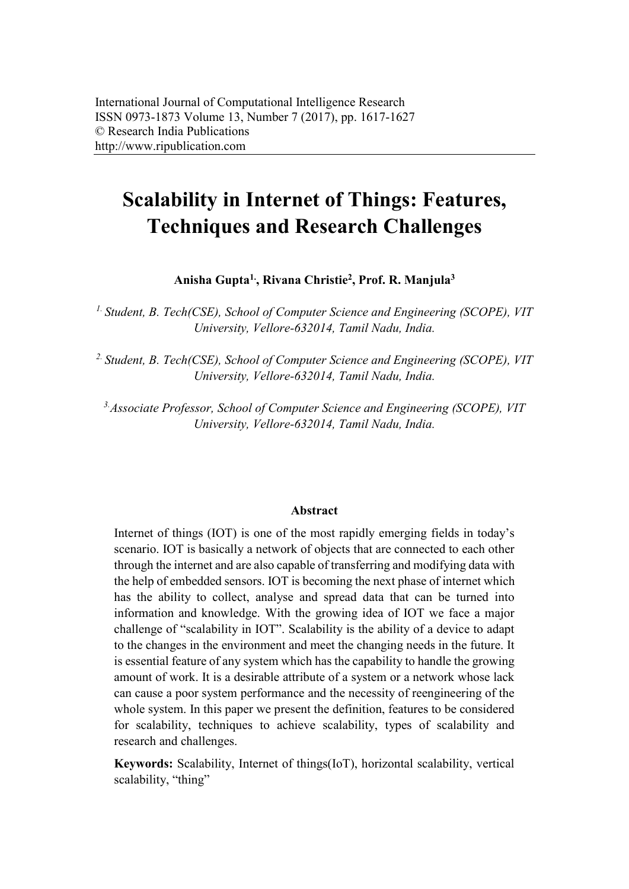# **Scalability in Internet of Things: Features, Techniques and Research Challenges**

**Anisha Gupta1., Rivana Christie<sup>2</sup> , Prof. R. Manjula<sup>3</sup>**

*1. Student, B. Tech(CSE), School of Computer Science and Engineering (SCOPE), VIT University, Vellore-632014, Tamil Nadu, India.*

*2. Student, B. Tech(CSE), School of Computer Science and Engineering (SCOPE), VIT University, Vellore-632014, Tamil Nadu, India.*

*3.Associate Professor, School of Computer Science and Engineering (SCOPE), VIT University, Vellore-632014, Tamil Nadu, India.*

#### **Abstract**

Internet of things (IOT) is one of the most rapidly emerging fields in today's scenario. IOT is basically a network of objects that are connected to each other through the internet and are also capable of transferring and modifying data with the help of embedded sensors. IOT is becoming the next phase of internet which has the ability to collect, analyse and spread data that can be turned into information and knowledge. With the growing idea of IOT we face a major challenge of "scalability in IOT". Scalability is the ability of a device to adapt to the changes in the environment and meet the changing needs in the future. It is essential feature of any system which has the capability to handle the growing amount of work. It is a desirable attribute of a system or a network whose lack can cause a poor system performance and the necessity of reengineering of the whole system. In this paper we present the definition, features to be considered for scalability, techniques to achieve scalability, types of scalability and research and challenges.

**Keywords:** Scalability, Internet of things(IoT), horizontal scalability, vertical scalability, "thing"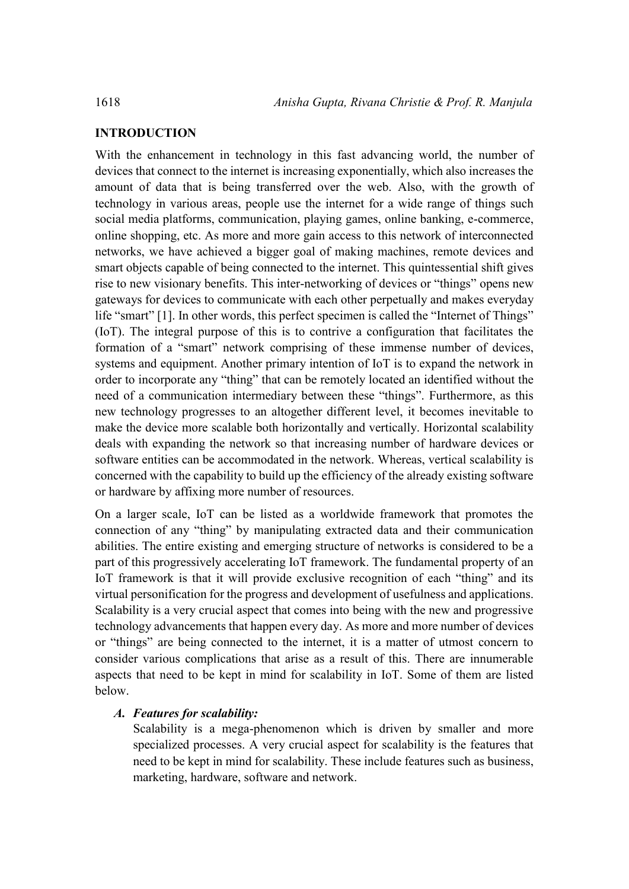#### **INTRODUCTION**

With the enhancement in technology in this fast advancing world, the number of devices that connect to the internet is increasing exponentially, which also increases the amount of data that is being transferred over the web. Also, with the growth of technology in various areas, people use the internet for a wide range of things such social media platforms, communication, playing games, online banking, e-commerce, online shopping, etc. As more and more gain access to this network of interconnected networks, we have achieved a bigger goal of making machines, remote devices and smart objects capable of being connected to the internet. This quintessential shift gives rise to new visionary benefits. This inter-networking of devices or "things" opens new gateways for devices to communicate with each other perpetually and makes everyday life "smart" [1]. In other words, this perfect specimen is called the "Internet of Things" (IoT). The integral purpose of this is to contrive a configuration that facilitates the formation of a "smart" network comprising of these immense number of devices, systems and equipment. Another primary intention of IoT is to expand the network in order to incorporate any "thing" that can be remotely located an identified without the need of a communication intermediary between these "things". Furthermore, as this new technology progresses to an altogether different level, it becomes inevitable to make the device more scalable both horizontally and vertically. Horizontal scalability deals with expanding the network so that increasing number of hardware devices or software entities can be accommodated in the network. Whereas, vertical scalability is concerned with the capability to build up the efficiency of the already existing software or hardware by affixing more number of resources.

On a larger scale, IoT can be listed as a worldwide framework that promotes the connection of any "thing" by manipulating extracted data and their communication abilities. The entire existing and emerging structure of networks is considered to be a part of this progressively accelerating IoT framework. The fundamental property of an IoT framework is that it will provide exclusive recognition of each "thing" and its virtual personification for the progress and development of usefulness and applications. Scalability is a very crucial aspect that comes into being with the new and progressive technology advancements that happen every day. As more and more number of devices or "things" are being connected to the internet, it is a matter of utmost concern to consider various complications that arise as a result of this. There are innumerable aspects that need to be kept in mind for scalability in IoT. Some of them are listed below.

## *A. Features for scalability:*

Scalability is a mega-phenomenon which is driven by smaller and more specialized processes. A very crucial aspect for scalability is the features that need to be kept in mind for scalability. These include features such as business, marketing, hardware, software and network.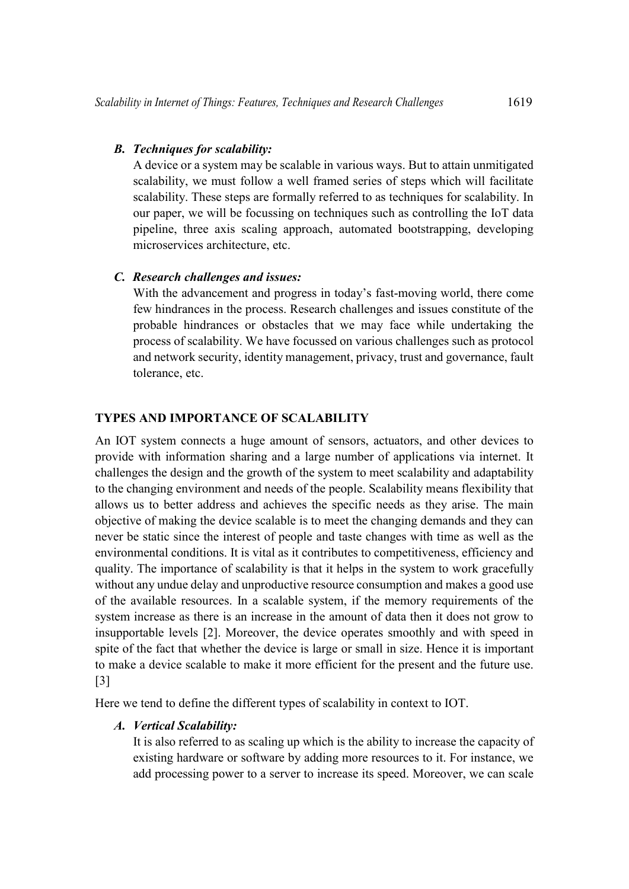## *B. Techniques for scalability:*

A device or a system may be scalable in various ways. But to attain unmitigated scalability, we must follow a well framed series of steps which will facilitate scalability. These steps are formally referred to as techniques for scalability. In our paper, we will be focussing on techniques such as controlling the IoT data pipeline, three axis scaling approach, automated bootstrapping, developing microservices architecture, etc.

## *C. Research challenges and issues:*

With the advancement and progress in today's fast-moving world, there come few hindrances in the process. Research challenges and issues constitute of the probable hindrances or obstacles that we may face while undertaking the process of scalability. We have focussed on various challenges such as protocol and network security, identity management, privacy, trust and governance, fault tolerance, etc.

#### **TYPES AND IMPORTANCE OF SCALABILITY**

An IOT system connects a huge amount of sensors, actuators, and other devices to provide with information sharing and a large number of applications via internet. It challenges the design and the growth of the system to meet scalability and adaptability to the changing environment and needs of the people. Scalability means flexibility that allows us to better address and achieves the specific needs as they arise. The main objective of making the device scalable is to meet the changing demands and they can never be static since the interest of people and taste changes with time as well as the environmental conditions. It is vital as it contributes to competitiveness, efficiency and quality. The importance of scalability is that it helps in the system to work gracefully without any undue delay and unproductive resource consumption and makes a good use of the available resources. In a scalable system, if the memory requirements of the system increase as there is an increase in the amount of data then it does not grow to insupportable levels [2]. Moreover, the device operates smoothly and with speed in spite of the fact that whether the device is large or small in size. Hence it is important to make a device scalable to make it more efficient for the present and the future use. [3]

Here we tend to define the different types of scalability in context to IOT.

## *A. Vertical Scalability:*

It is also referred to as scaling up which is the ability to increase the capacity of existing hardware or software by adding more resources to it. For instance, we add processing power to a server to increase its speed. Moreover, we can scale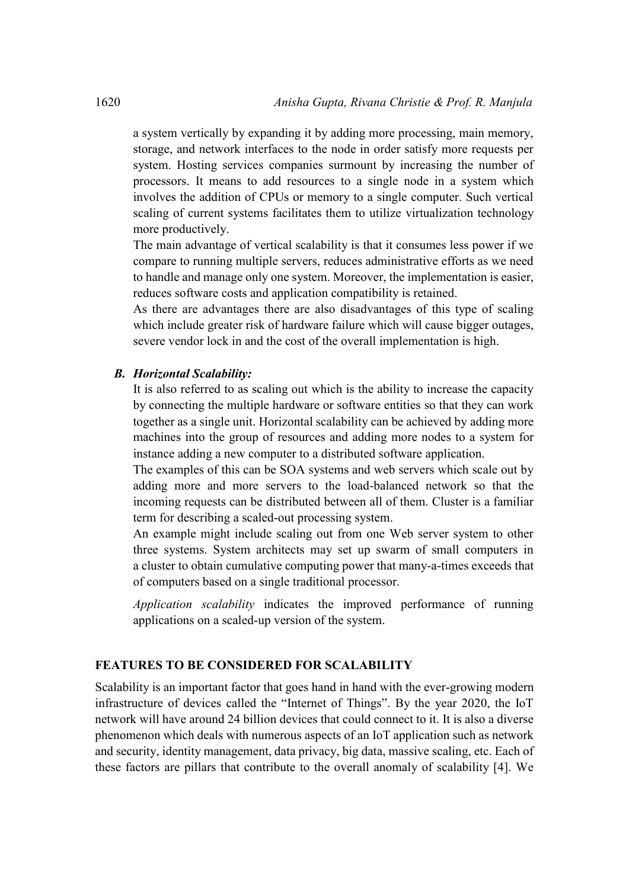a system vertically by expanding it by adding more processing, main memory, storage, and network interfaces to the node in order satisfy more requests per system. Hosting services companies surmount by increasing the number of processors. It means to add resources to a single node in a system which involves the addition of CPUs or memory to a single computer. Such vertical scaling of current systems facilitates them to utilize [virtualization](https://en.wikipedia.org/wiki/Platform_virtualization) technology more productively.

The main advantage of vertical scalability is that it consumes less power if we compare to running multiple servers, reduces administrative efforts as we need to handle and manage only one system. Moreover, the implementation is easier, reduces software costs and application compatibility is retained.

As there are advantages there are also disadvantages of this type of scaling which include greater risk of hardware failure which will cause bigger outages, severe vendor lock in and the cost of the overall implementation is high.

#### *B. Horizontal Scalability:*

It is also referred to as scaling out which is the ability to increase the capacity by connecting the multiple hardware or software entities so that they can work together as a single unit. Horizontal scalability can be achieved by adding more machines into the group of resources and adding more nodes to a system for instance adding a new computer to a distributed software application.

The examples of this can be SOA systems and web servers which scale out by adding more and more servers to the load-balanced network so that the incoming requests can be distributed between all of them. Cluster is a familiar term for describing a scaled-out processing system.

An example might include scaling out from one Web server system to other three systems. System architects may set up swarm of small computers in a [cluster](https://en.wikipedia.org/wiki/Computer_cluster) to obtain cumulative computing power that many-a-times exceeds that of computers based on a single traditional processor.

*Application scalability* indicates the improved performance of running applications on a scaled-up version of the system.

## **FEATURES TO BE CONSIDERED FOR SCALABILITY**

Scalability is an important factor that goes hand in hand with the ever-growing modern infrastructure of devices called the "Internet of Things". By the year 2020, the IoT network will have around 24 billion devices that could connect to it. It is also a diverse phenomenon which deals with numerous aspects of an IoT application such as network and security, identity management, data privacy, big data, massive scaling, etc. Each of these factors are pillars that contribute to the overall anomaly of scalability [4]. We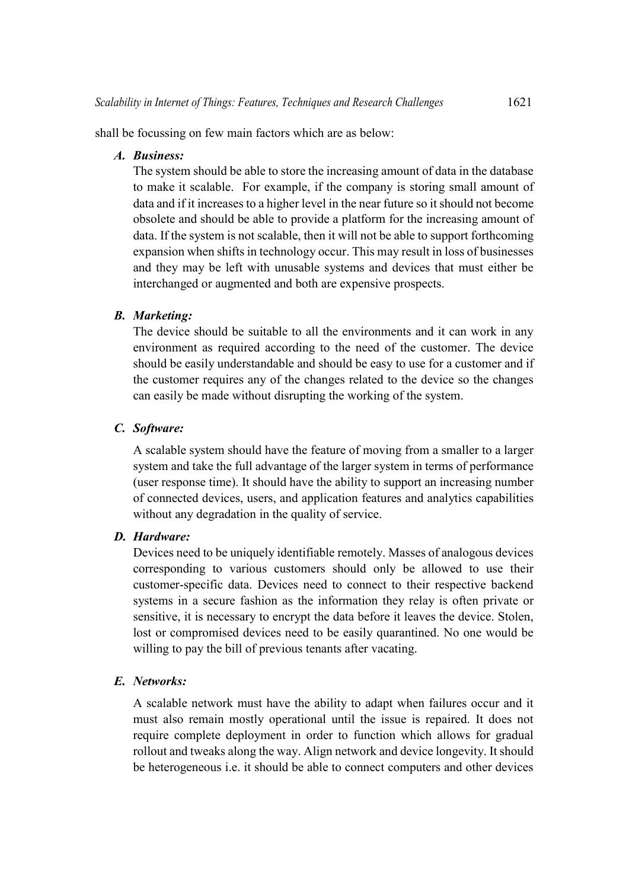shall be focussing on few main factors which are as below:

## *A. Business:*

The system should be able to store the increasing amount of data in the database to make it scalable. For example, if the company is storing small amount of data and if it increases to a higher level in the near future so it should not become obsolete and should be able to provide a platform for the increasing amount of data. If the system is not scalable, then it will not be able to support forthcoming expansion when shifts in technology occur. This may result in loss of businesses and they may be left with unusable systems and devices that must either be interchanged or augmented and both are expensive prospects.

# *B. Marketing:*

The device should be suitable to all the environments and it can work in any environment as required according to the need of the customer. The device should be easily understandable and should be easy to use for a customer and if the customer requires any of the changes related to the device so the changes can easily be made without disrupting the working of the system.

## *C. Software:*

A scalable system should have the feature of moving from a smaller to a larger system and take the full advantage of the larger system in terms of performance (user response time). It should have the ability to support an increasing number of connected devices, users, and application features and analytics capabilities without any degradation in the quality of service.

# *D. Hardware:*

Devices need to be uniquely identifiable remotely. Masses of analogous devices corresponding to various customers should only be allowed to use their customer-specific data. Devices need to connect to their respective backend systems in a secure fashion as the information they relay is often private or sensitive, it is necessary to encrypt the data before it leaves the device. Stolen, lost or compromised devices need to be easily quarantined. No one would be willing to pay the bill of previous tenants after vacating.

# *E. Networks:*

A scalable network must have the ability to adapt when failures occur and it must also remain mostly operational until the issue is repaired. It does not require complete deployment in order to function which allows for gradual rollout and tweaks along the way. Align network and device longevity. It should be heterogeneous i.e. it should be able to connect computers and other devices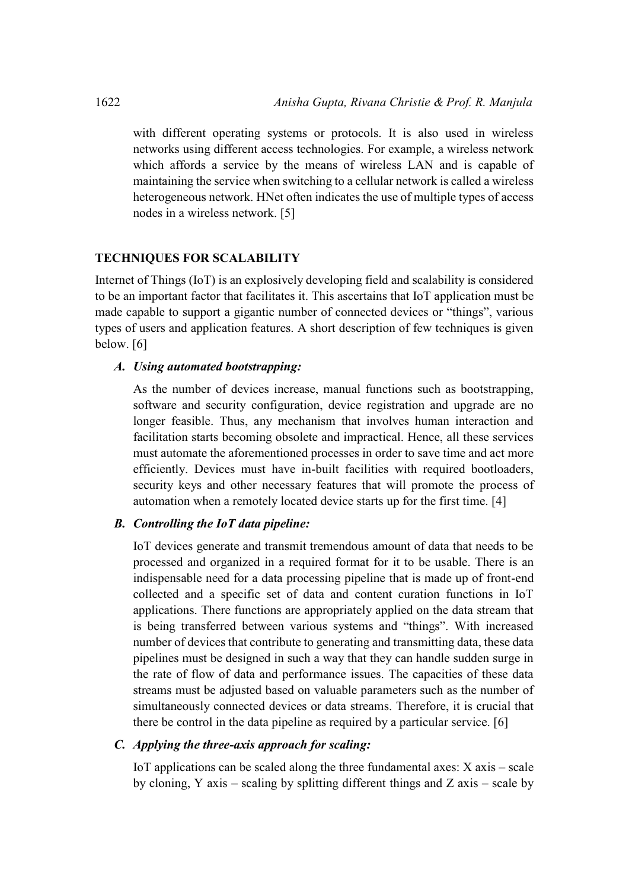with different operating systems or protocols. It is also used in wireless networks using different access technologies. For example, a wireless network which affords a service by the means of wireless LAN and is capable of maintaining the service when switching to a cellular network is called a wireless heterogeneous network. HNet often indicates the use of multiple types of access nodes in a wireless network. [5]

#### **TECHNIQUES FOR SCALABILITY**

Internet of Things (IoT) is an explosively developing field and scalability is considered to be an important factor that facilitates it. This ascertains that IoT application must be made capable to support a gigantic number of connected devices or "things", various types of users and application features. A short description of few techniques is given below. [6]

#### *A. Using automated bootstrapping:*

As the number of devices increase, manual functions such as bootstrapping, software and security configuration, device registration and upgrade are no longer feasible. Thus, any mechanism that involves human interaction and facilitation starts becoming obsolete and impractical. Hence, all these services must automate the aforementioned processes in order to save time and act more efficiently. Devices must have in-built facilities with required bootloaders, security keys and other necessary features that will promote the process of automation when a remotely located device starts up for the first time. [4]

#### *B. Controlling the IoT data pipeline:*

IoT devices generate and transmit tremendous amount of data that needs to be processed and organized in a required format for it to be usable. There is an indispensable need for a data processing pipeline that is made up of front-end collected and a specific set of data and content curation functions in IoT applications. There functions are appropriately applied on the data stream that is being transferred between various systems and "things". With increased number of devices that contribute to generating and transmitting data, these data pipelines must be designed in such a way that they can handle sudden surge in the rate of flow of data and performance issues. The capacities of these data streams must be adjusted based on valuable parameters such as the number of simultaneously connected devices or data streams. Therefore, it is crucial that there be control in the data pipeline as required by a particular service. [6]

## *C. Applying the three-axis approach for scaling:*

IoT applications can be scaled along the three fundamental axes:  $X$  axis – scale by cloning, Y axis – scaling by splitting different things and Z axis – scale by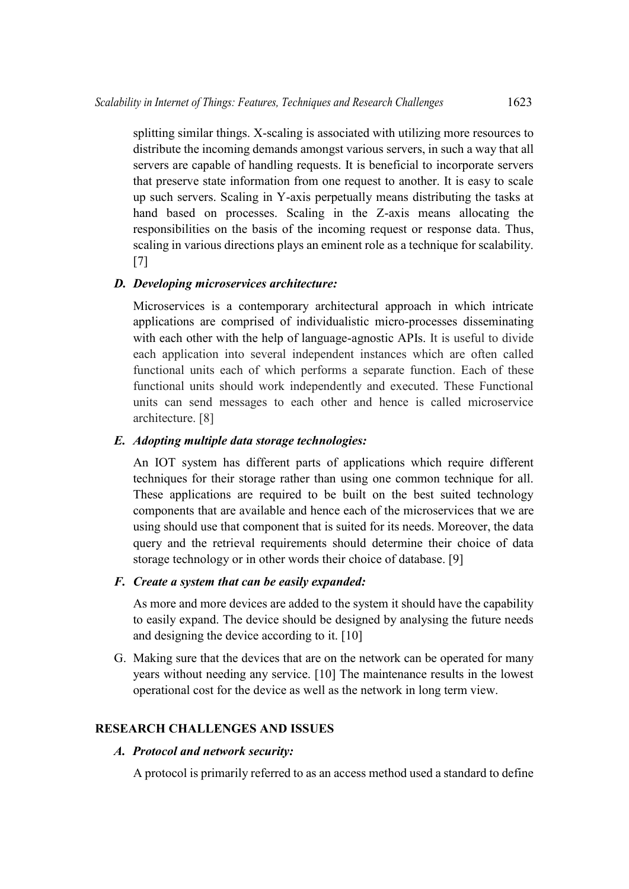splitting similar things. X-scaling is associated with utilizing more resources to distribute the incoming demands amongst various servers, in such a way that all servers are capable of handling requests. It is beneficial to incorporate servers that preserve state information from one request to another. It is easy to scale up such servers. Scaling in Y-axis perpetually means distributing the tasks at hand based on processes. Scaling in the Z-axis means allocating the responsibilities on the basis of the incoming request or response data. Thus, scaling in various directions plays an eminent role as a technique for scalability. [7]

# *D. Developing microservices architecture:*

Microservices is a contemporary architectural approach in which intricate applications are comprised of individualistic micro-processes disseminating with each other with the help of language-agnostic APIs. It is useful to divide each application into several independent instances which are often called functional units each of which performs a separate function. Each of these functional units should work independently and executed. These Functional units can send messages to each other and hence is called microservice architecture. [8]

# *E. Adopting multiple data storage technologies:*

An IOT system has different parts of applications which require different techniques for their storage rather than using one common technique for all. These applications are required to be built on the best suited technology components that are available and hence each of the microservices that we are using should use that component that is suited for its needs. Moreover, the data query and the retrieval requirements should determine their choice of data storage technology or in other words their choice of database. [9]

# *F. Create a system that can be easily expanded:*

As more and more devices are added to the system it should have the capability to easily expand. The device should be designed by analysing the future needs and designing the device according to it. [10]

G. Making sure that the devices that are on the network can be operated for many years without needing any service. [10] The maintenance results in the lowest operational cost for the device as well as the network in long term view.

# **RESEARCH CHALLENGES AND ISSUES**

# *A. Protocol and network security:*

A protocol is primarily referred to as an access method used a standard to define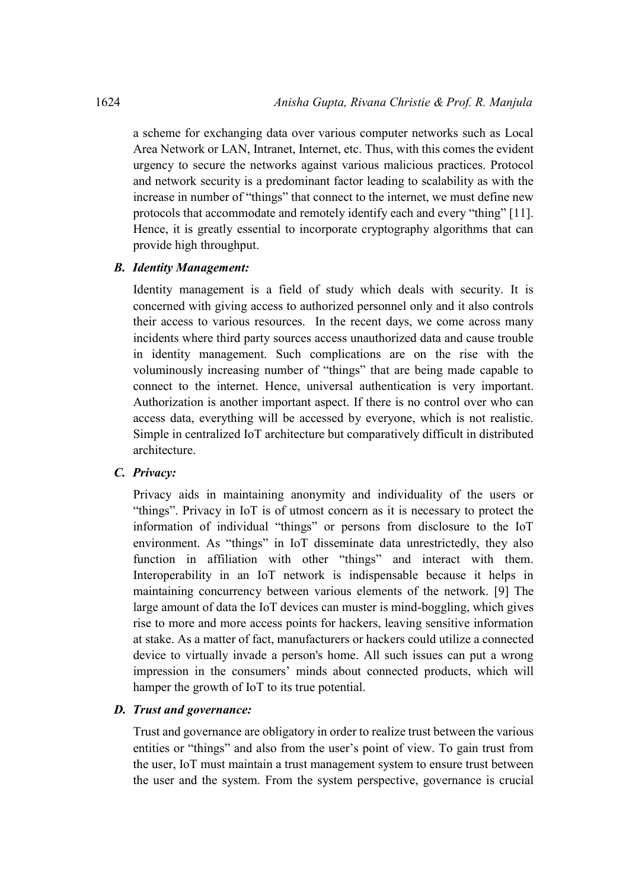a scheme for exchanging data over various computer networks such as Local Area Network or LAN, Intranet, Internet, etc. Thus, with this comes the evident urgency to secure the networks against various malicious practices. Protocol and network security is a predominant factor leading to scalability as with the increase in number of "things" that connect to the internet, we must define new protocols that accommodate and remotely identify each and every "thing" [11]. Hence, it is greatly essential to incorporate cryptography algorithms that can provide high throughput.

## *B. Identity Management:*

Identity management is a field of study which deals with security. It is concerned with giving access to authorized personnel only and it also controls their access to various resources. In the recent days, we come across many incidents where third party sources access unauthorized data and cause trouble in identity management. Such complications are on the rise with the voluminously increasing number of "things" that are being made capable to connect to the internet. Hence, universal authentication is very important. Authorization is another important aspect. If there is no control over who can access data, everything will be accessed by everyone, which is not realistic. Simple in centralized IoT architecture but comparatively difficult in distributed architecture.

#### *C. Privacy:*

Privacy aids in maintaining anonymity and individuality of the users or "things". Privacy in IoT is of utmost concern as it is necessary to protect the information of individual "things" or persons from disclosure to the IoT environment. As "things" in IoT disseminate data unrestrictedly, they also function in affiliation with other "things" and interact with them. Interoperability in an IoT network is indispensable because it helps in maintaining concurrency between various elements of the network. [9] The large amount of data the IoT devices can muster is mind-boggling, which gives rise to more and more access points for hackers, leaving sensitive information at stake. As a matter of fact, manufacturers or hackers could utilize a connected device to virtually invade a person's home. All such issues can put a wrong impression in the consumers' minds about connected products, which will hamper the growth of IoT to its true potential.

#### *D. Trust and governance:*

Trust and governance are obligatory in order to realize trust between the various entities or "things" and also from the user's point of view. To gain trust from the user, IoT must maintain a trust management system to ensure trust between the user and the system. From the system perspective, governance is crucial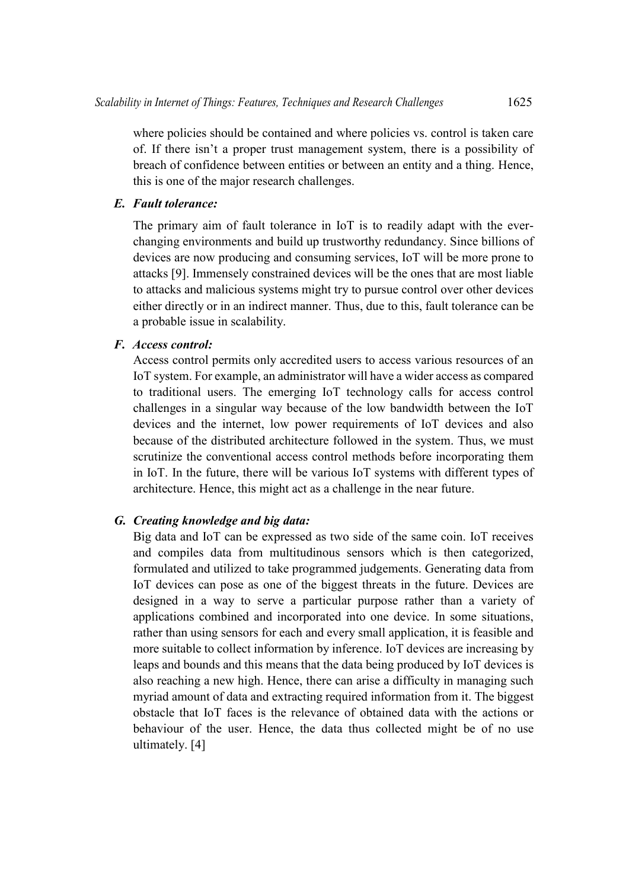where policies should be contained and where policies vs. control is taken care of. If there isn't a proper trust management system, there is a possibility of breach of confidence between entities or between an entity and a thing. Hence, this is one of the major research challenges.

## *E. Fault tolerance:*

The primary aim of fault tolerance in IoT is to readily adapt with the everchanging environments and build up trustworthy redundancy. Since billions of devices are now producing and consuming services, IoT will be more prone to attacks [9]. Immensely constrained devices will be the ones that are most liable to attacks and malicious systems might try to pursue control over other devices either directly or in an indirect manner. Thus, due to this, fault tolerance can be a probable issue in scalability.

## *F. Access control:*

Access control permits only accredited users to access various resources of an IoT system. For example, an administrator will have a wider access as compared to traditional users. The emerging IoT technology calls for access control challenges in a singular way because of the low bandwidth between the IoT devices and the internet, low power requirements of IoT devices and also because of the distributed architecture followed in the system. Thus, we must scrutinize the conventional access control methods before incorporating them in IoT. In the future, there will be various IoT systems with different types of architecture. Hence, this might act as a challenge in the near future.

## *G. Creating knowledge and big data:*

Big data and IoT can be expressed as two side of the same coin. IoT receives and compiles data from multitudinous sensors which is then categorized, formulated and utilized to take programmed judgements. Generating data from IoT devices can pose as one of the biggest threats in the future. Devices are designed in a way to serve a particular purpose rather than a variety of applications combined and incorporated into one device. In some situations, rather than using sensors for each and every small application, it is feasible and more suitable to collect information by inference. IoT devices are increasing by leaps and bounds and this means that the data being produced by IoT devices is also reaching a new high. Hence, there can arise a difficulty in managing such myriad amount of data and extracting required information from it. The biggest obstacle that IoT faces is the relevance of obtained data with the actions or behaviour of the user. Hence, the data thus collected might be of no use ultimately. [4]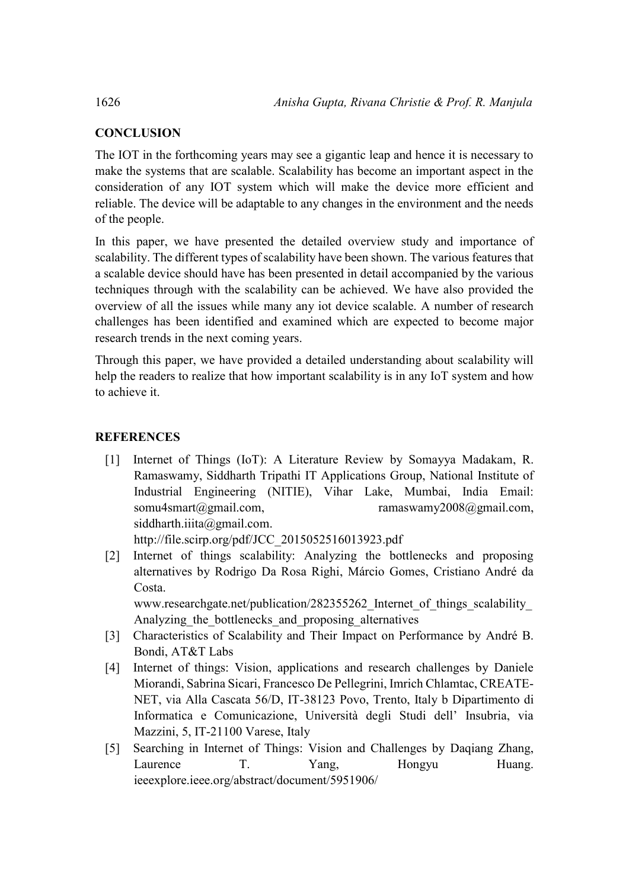# **CONCLUSION**

The IOT in the forthcoming years may see a gigantic leap and hence it is necessary to make the systems that are scalable. Scalability has become an important aspect in the consideration of any IOT system which will make the device more efficient and reliable. The device will be adaptable to any changes in the environment and the needs of the people.

In this paper, we have presented the detailed overview study and importance of scalability. The different types of scalability have been shown. The various features that a scalable device should have has been presented in detail accompanied by the various techniques through with the scalability can be achieved. We have also provided the overview of all the issues while many any iot device scalable. A number of research challenges has been identified and examined which are expected to become major research trends in the next coming years.

Through this paper, we have provided a detailed understanding about scalability will help the readers to realize that how important scalability is in any IoT system and how to achieve it.

# **REFERENCES**

[1] Internet of Things (IoT): A Literature Review by Somayya Madakam, R. Ramaswamy, Siddharth Tripathi IT Applications Group, National Institute of Industrial Engineering (NITIE), Vihar Lake, Mumbai, India Email: somu4smart@gmail.com, ramaswamy2008@gmail.com, [siddharth.iiita@gmail.com.](mailto:siddharth.iiita@gmail.com)

http://file.scirp.org/pdf/JCC\_2015052516013923.pdf

[2] Internet of things scalability: Analyzing the bottlenecks and proposing alternatives by [Rodrigo Da Rosa Righi,](https://www.researchgate.net/profile/Rodrigo_Righi) [Márcio Gomes,](https://www.researchgate.net/researcher/2081916085_Marcio_Gomes) [Cristiano André da](https://www.researchgate.net/profile/Cristiano_Andre_Da_Costa)  [Costa.](https://www.researchgate.net/profile/Cristiano_Andre_Da_Costa)

www.researchgate.net/publication/282355262 Internet of things scalability Analyzing the bottlenecks and proposing alternatives

- [3] Characteristics of Scalability and Their Impact on Performance by André B. Bondi, AT&T Labs
- [4] Internet of things: Vision, applications and research challenges by Daniele Miorandi, Sabrina Sicari, Francesco De Pellegrini, Imrich Chlamtac, CREATE-NET, via Alla Cascata 56/D, IT-38123 Povo, Trento, Italy b Dipartimento di Informatica e Comunicazione, Università degli Studi dell' Insubria, via Mazzini, 5, IT-21100 Varese, Italy
- [5] Searching in Internet of Things: Vision and Challenges by [Daqiang Zhang,](http://ieeexplore.ieee.org/search/searchresult.jsp?searchWithin=%22Authors%22:.QT.Daqiang%20Zhang.QT.&newsearch=true) [Laurence T. Yang,](http://ieeexplore.ieee.org/search/searchresult.jsp?searchWithin=%22Authors%22:.QT.Laurence%20T.%20Yang.QT.&newsearch=true) [Hongyu Huang.](http://ieeexplore.ieee.org/search/searchresult.jsp?searchWithin=%22Authors%22:.QT.Hongyu%20Huang.QT.&newsearch=true) ieeexplore.ieee.org/abstract/document/5951906/